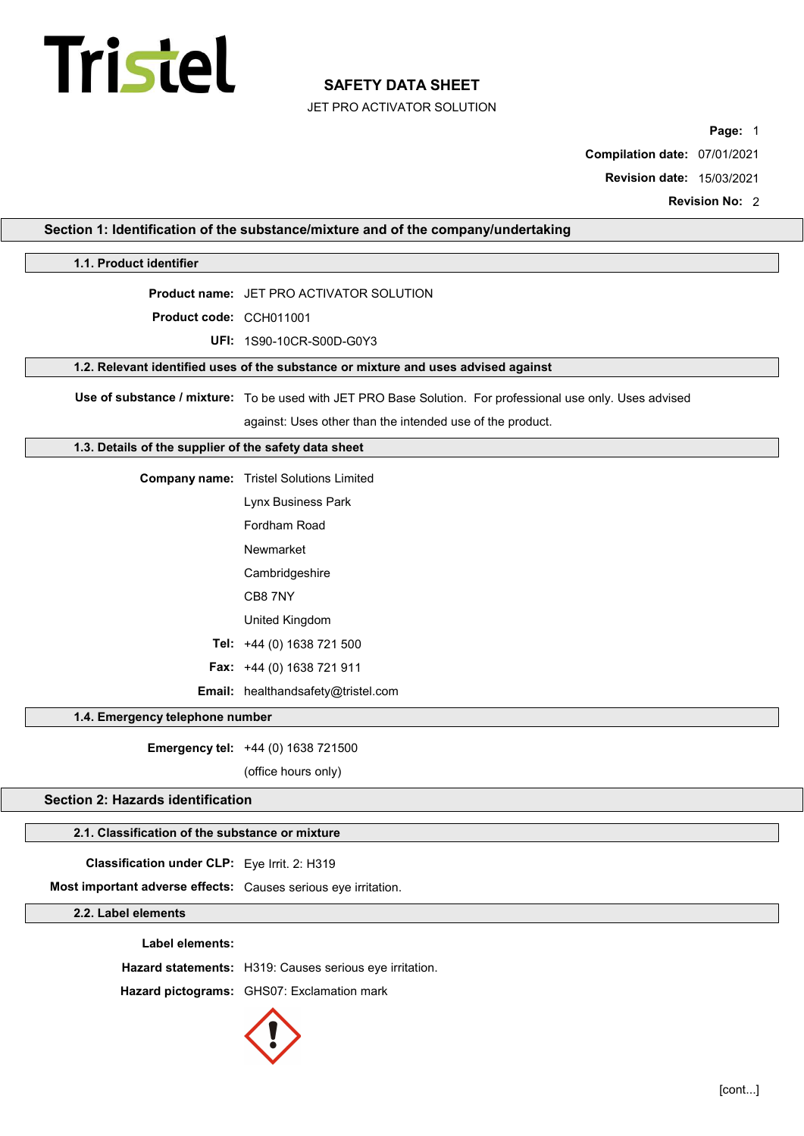# **Tristel**

# SAFETY DATA SHEET

JET PRO ACTIVATOR SOLUTION

Page: 1

Compilation date: 07/01/2021

Revision date: 15/03/2021

Revision No: 2

| Section 1: Identification of the substance/mixture and of the company/undertaking |                                                                                                            |  |  |
|-----------------------------------------------------------------------------------|------------------------------------------------------------------------------------------------------------|--|--|
| 1.1. Product identifier                                                           |                                                                                                            |  |  |
|                                                                                   | Product name: JET PRO ACTIVATOR SOLUTION                                                                   |  |  |
| Product code: CCH011001                                                           |                                                                                                            |  |  |
|                                                                                   | UFI: 1S90-10CR-S00D-G0Y3                                                                                   |  |  |
|                                                                                   | 1.2. Relevant identified uses of the substance or mixture and uses advised against                         |  |  |
|                                                                                   | Use of substance / mixture: To be used with JET PRO Base Solution. For professional use only. Uses advised |  |  |
|                                                                                   | against: Uses other than the intended use of the product.                                                  |  |  |
| 1.3. Details of the supplier of the safety data sheet                             |                                                                                                            |  |  |
|                                                                                   | <b>Company name:</b> Tristel Solutions Limited                                                             |  |  |
|                                                                                   | Lynx Business Park                                                                                         |  |  |
|                                                                                   | Fordham Road                                                                                               |  |  |
|                                                                                   | Newmarket                                                                                                  |  |  |
|                                                                                   | Cambridgeshire                                                                                             |  |  |
|                                                                                   | CB8 7NY                                                                                                    |  |  |
|                                                                                   | United Kingdom                                                                                             |  |  |
|                                                                                   | Tel: +44 (0) 1638 721 500                                                                                  |  |  |
|                                                                                   | Fax: +44 (0) 1638 721 911                                                                                  |  |  |
| Email: healthandsafety@tristel.com                                                |                                                                                                            |  |  |
| 1.4. Emergency telephone number                                                   |                                                                                                            |  |  |
|                                                                                   | Emergency tel: +44 (0) 1638 721500                                                                         |  |  |
|                                                                                   | (office hours only)                                                                                        |  |  |
| <b>Section 2: Hazards identification</b>                                          |                                                                                                            |  |  |
| 2.1. Classification of the substance or mixture                                   |                                                                                                            |  |  |
| Classification under CLP: Eye Irrit. 2: H319                                      |                                                                                                            |  |  |
| Most important adverse effects: Causes serious eye irritation.                    |                                                                                                            |  |  |
| 2.2. Label elements                                                               |                                                                                                            |  |  |
| Label elements:                                                                   |                                                                                                            |  |  |
|                                                                                   | Hazard statements: H319: Causes serious eye irritation.                                                    |  |  |
|                                                                                   | Hazard pictograms: GHS07: Exclamation mark                                                                 |  |  |

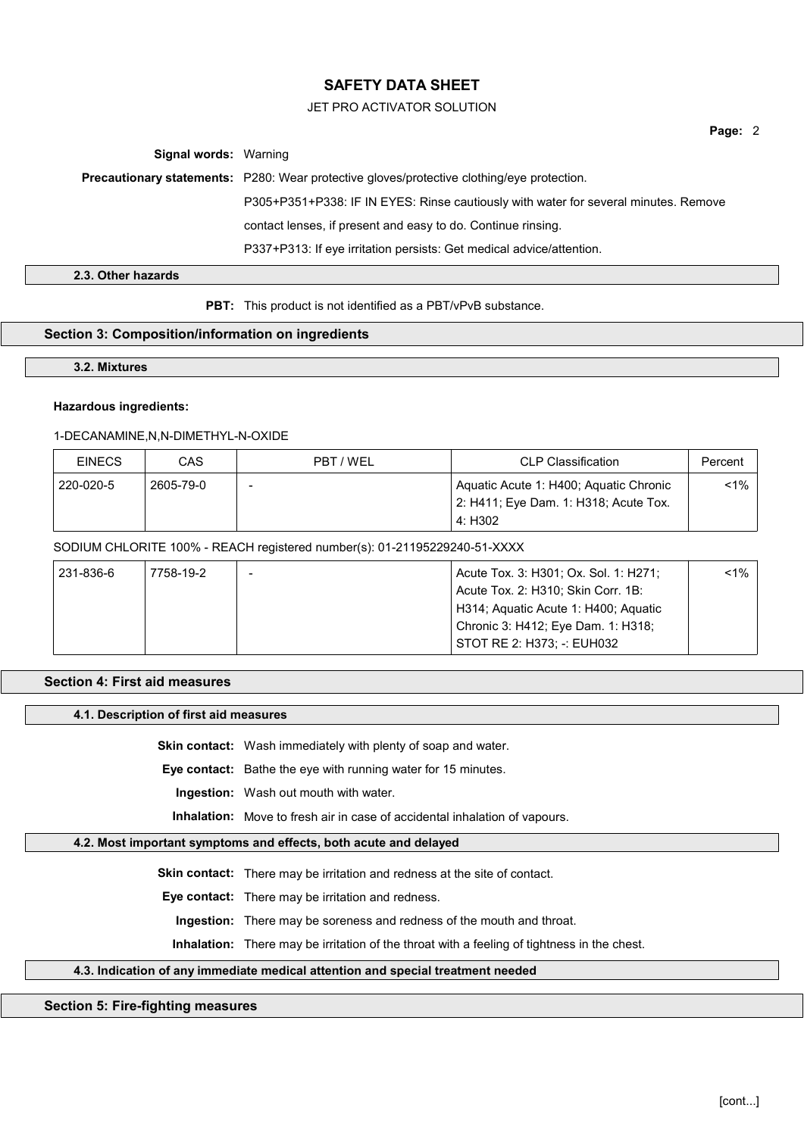## JET PRO ACTIVATOR SOLUTION

Page: 2

Signal words: Warning

Precautionary statements: P280: Wear protective gloves/protective clothing/eye protection.

P305+P351+P338: IF IN EYES: Rinse cautiously with water for several minutes. Remove

contact lenses, if present and easy to do. Continue rinsing.

P337+P313: If eye irritation persists: Get medical advice/attention.

2.3. Other hazards

**PBT:** This product is not identified as a PBT/vPvB substance.

# Section 3: Composition/information on ingredients

3.2. Mixtures

# Hazardous ingredients:

# 1-DECANAMINE,N,N-DIMETHYL-N-OXIDE

| <b>EINECS</b> | CAS       | PBT / WEL | CLP Classification                                                              |       |
|---------------|-----------|-----------|---------------------------------------------------------------------------------|-------|
| 220-020-5     | 2605-79-0 |           | Aquatic Acute 1: H400; Aquatic Chronic<br>2: H411; Eye Dam. 1: H318; Acute Tox. | $1\%$ |
|               |           |           | 4: H302                                                                         |       |

# SODIUM CHLORITE 100% - REACH registered number(s): 01-21195229240-51-XXXX

| 231-836-6 | 7758-19-2 | Acute Tox. 3: H301; Ox. Sol. 1: H271; | $1\%$ |
|-----------|-----------|---------------------------------------|-------|
|           |           | Acute Tox. 2: H310; Skin Corr. 1B:    |       |
|           |           | H314; Aquatic Acute 1: H400; Aquatic  |       |
|           |           | Chronic 3: H412; Eye Dam. 1: H318;    |       |
|           |           | STOT RE 2: H373: -: EUH032            |       |

#### Section 4: First aid measures

# 4.1. Description of first aid measures

Skin contact: Wash immediately with plenty of soap and water.

Eye contact: Bathe the eye with running water for 15 minutes.

Ingestion: Wash out mouth with water.

Inhalation: Move to fresh air in case of accidental inhalation of vapours.

# 4.2. Most important symptoms and effects, both acute and delayed

Skin contact: There may be irritation and redness at the site of contact.

Eye contact: There may be irritation and redness.

Ingestion: There may be soreness and redness of the mouth and throat.

Inhalation: There may be irritation of the throat with a feeling of tightness in the chest.

# 4.3. Indication of any immediate medical attention and special treatment needed

#### Section 5: Fire-fighting measures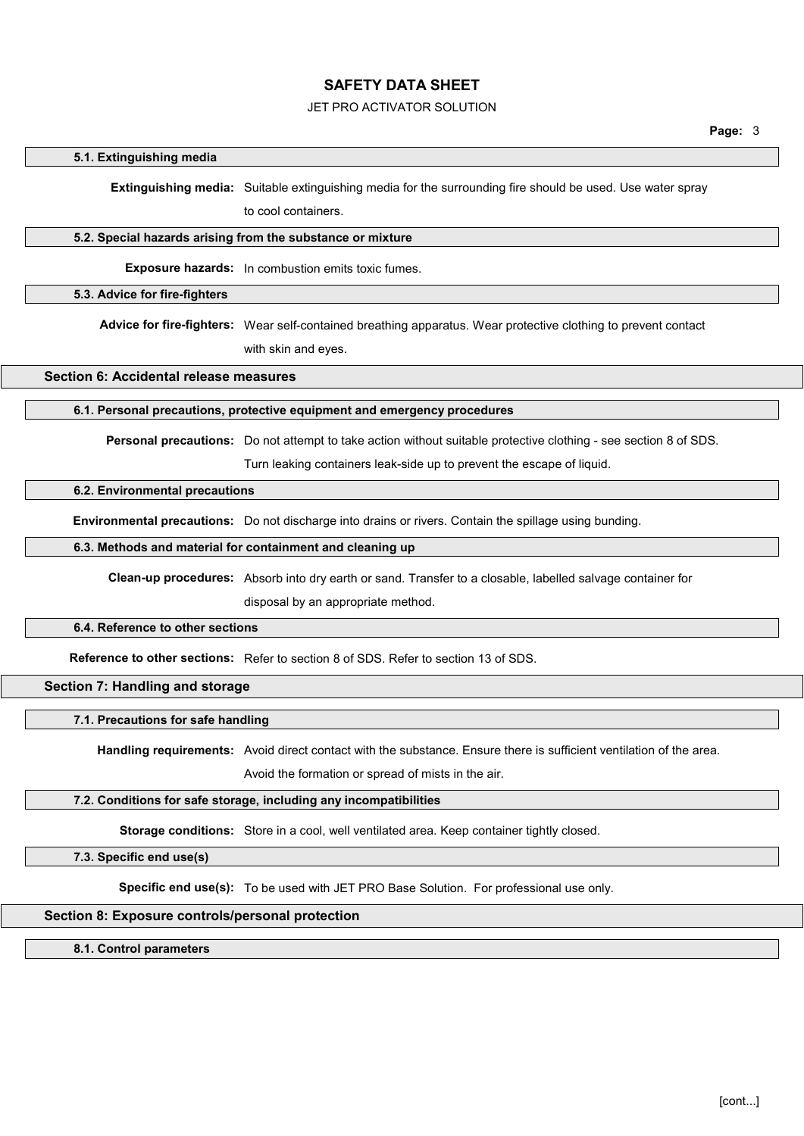# JET PRO ACTIVATOR SOLUTION

#### 5.1. Extinguishing media

Extinguishing media: Suitable extinguishing media for the surrounding fire should be used. Use water spray

to cool containers.

#### 5.2. Special hazards arising from the substance or mixture

Exposure hazards: In combustion emits toxic fumes.

#### 5.3. Advice for fire-fighters

Advice for fire-fighters: Wear self-contained breathing apparatus. Wear protective clothing to prevent contact with skin and eyes.

# Section 6: Accidental release measures

# 6.1. Personal precautions, protective equipment and emergency procedures

Personal precautions: Do not attempt to take action without suitable protective clothing - see section 8 of SDS.

Turn leaking containers leak-side up to prevent the escape of liquid.

#### 6.2. Environmental precautions

Environmental precautions: Do not discharge into drains or rivers. Contain the spillage using bunding.

#### 6.3. Methods and material for containment and cleaning up

Clean-up procedures: Absorb into dry earth or sand. Transfer to a closable, labelled salvage container for

disposal by an appropriate method.

#### 6.4. Reference to other sections

Reference to other sections: Refer to section 8 of SDS. Refer to section 13 of SDS.

# Section 7: Handling and storage

# 7.1. Precautions for safe handling

Handling requirements: Avoid direct contact with the substance. Ensure there is sufficient ventilation of the area.

Avoid the formation or spread of mists in the air.

#### 7.2. Conditions for safe storage, including any incompatibilities

Storage conditions: Store in a cool, well ventilated area. Keep container tightly closed.

7.3. Specific end use(s)

Specific end use(s): To be used with JET PRO Base Solution. For professional use only.

## Section 8: Exposure controls/personal protection

#### 8.1. Control parameters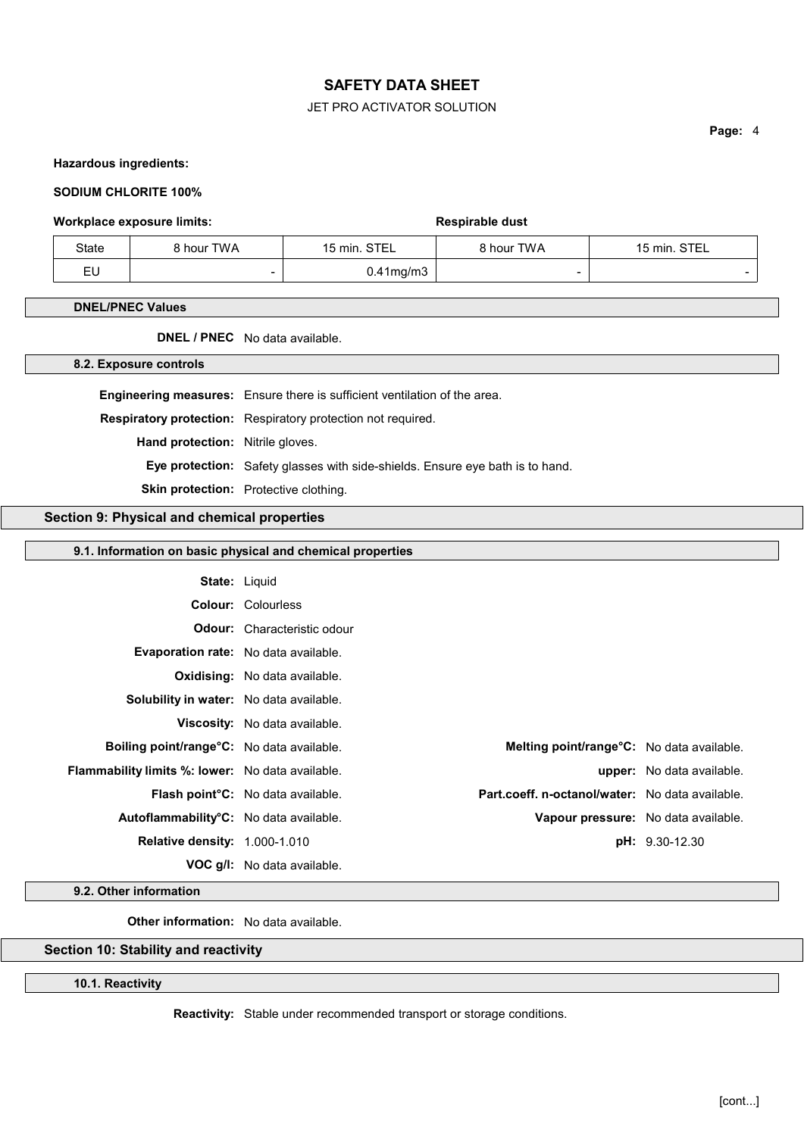# JET PRO ACTIVATOR SOLUTION

Page: 4

# Hazardous ingredients:

#### SODIUM CHLORITE 100%

#### Workplace exposure limits: Workplace exposure limits:

| State | 8 hour TWA | 15 min. STEL    | 8 hour TWA | 15 min. STEL |
|-------|------------|-----------------|------------|--------------|
| EU    | -          | $0.41$ mg/m $3$ |            |              |

#### DNEL/PNEC Values

DNEL / PNEC No data available.

8.2. Exposure controls

Engineering measures: Ensure there is sufficient ventilation of the area.

Respiratory protection: Respiratory protection not required.

Hand protection: Nitrile gloves.

Eye protection: Safety glasses with side-shields. Ensure eye bath is to hand.

Skin protection: Protective clothing.

# Section 9: Physical and chemical properties

# 9.1. Information on basic physical and chemical properties

| <b>State: Liquid</b>                                        |                                                                                             |                                     |
|-------------------------------------------------------------|---------------------------------------------------------------------------------------------|-------------------------------------|
|                                                             | <b>Colour: Colourless</b>                                                                   |                                     |
|                                                             | <b>Odour:</b> Characteristic odour                                                          |                                     |
| Evaporation rate: No data available.                        |                                                                                             |                                     |
|                                                             | <b>Oxidising:</b> No data available.                                                        |                                     |
| <b>Solubility in water:</b> No data available.              |                                                                                             |                                     |
|                                                             | <b>Viscosity:</b> No data available.                                                        |                                     |
| <b>Boiling point/range<sup>o</sup>C:</b> No data available. | Melting point/range°C: No data available.                                                   |                                     |
| <b>Flammability limits %: lower:</b> No data available.     |                                                                                             | <b>upper:</b> No data available.    |
|                                                             | Part.coeff. n-octanol/water: No data available.<br><b>Flash point C:</b> No data available. |                                     |
| Autoflammability°C: No data available.                      |                                                                                             | Vapour pressure: No data available. |
| <b>Relative density: 1.000-1.010</b>                        |                                                                                             | <b>pH:</b> 9.30-12.30               |
|                                                             | <b>VOC g/l:</b> No data available.                                                          |                                     |

9.2. Other information

Other information: No data available.

# Section 10: Stability and reactivity

#### 10.1. Reactivity

Reactivity: Stable under recommended transport or storage conditions.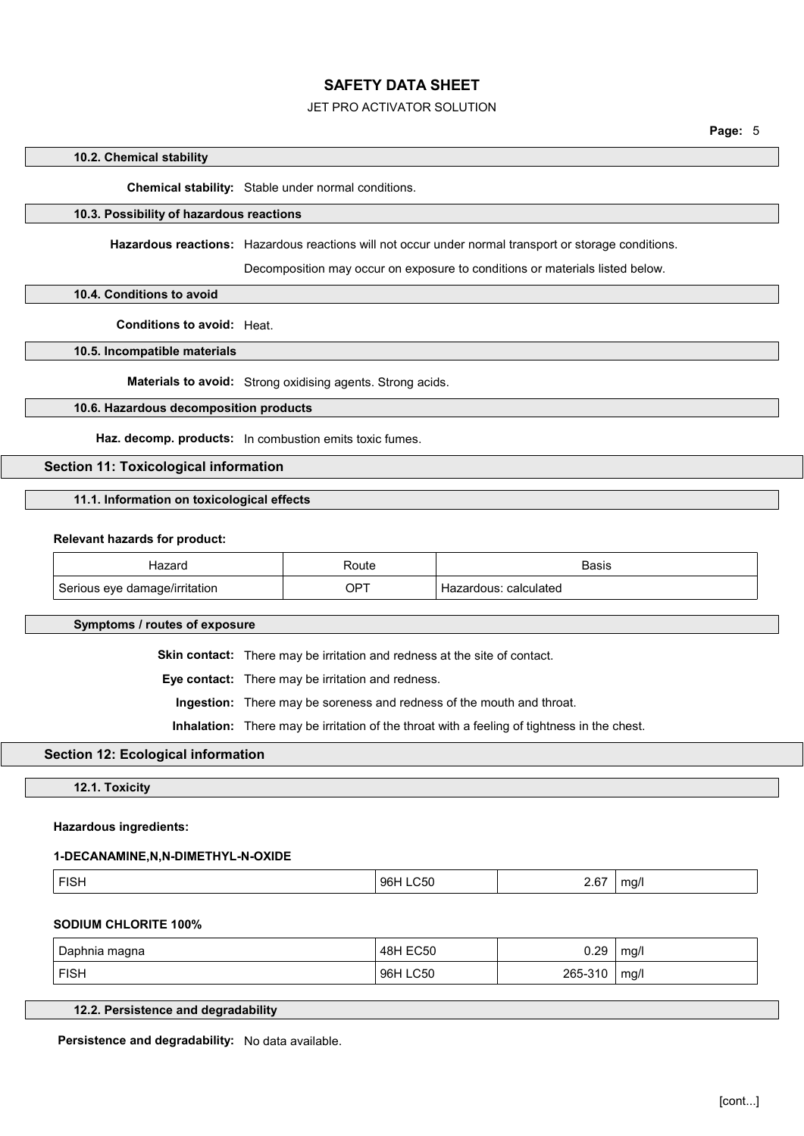# JET PRO ACTIVATOR SOLUTION

#### 10.2. Chemical stability

Chemical stability: Stable under normal conditions.

# 10.3. Possibility of hazardous reactions

Hazardous reactions: Hazardous reactions will not occur under normal transport or storage conditions.

Decomposition may occur on exposure to conditions or materials listed below.

## 10.4. Conditions to avoid

Conditions to avoid: Heat.

10.5. Incompatible materials

Materials to avoid: Strong oxidising agents. Strong acids.

# 10.6. Hazardous decomposition products

Haz. decomp. products: In combustion emits toxic fumes.

# Section 11: Toxicological information

# 11.1. Information on toxicological effects

#### Relevant hazards for product:

| 1878rr                        | रoute       | Basis                    |
|-------------------------------|-------------|--------------------------|
| Serious eye damage/irritation | $OP^{\tau}$ | calculated<br>Hazardous: |

Symptoms / routes of exposure

Skin contact: There may be irritation and redness at the site of contact.

Eye contact: There may be irritation and redness.

Ingestion: There may be soreness and redness of the mouth and throat.

Inhalation: There may be irritation of the throat with a feeling of tightness in the chest.

# Section 12: Ecological information

12.1. Toxicity

#### Hazardous ingredients:

#### 1-DECANAMINE,N,N-DIMETHYL-N-OXIDE

|--|

#### SODIUM CHLORITE 100%

| Daphnia magna | EC50<br>48H        | ∩ วฉ<br>∪.∠⊌ | mq/1 |
|---------------|--------------------|--------------|------|
| <b>FISH</b>   | <b>LC50</b><br>96H | 265-310      | mq/l |

# 12.2. Persistence and degradability

Persistence and degradability: No data available.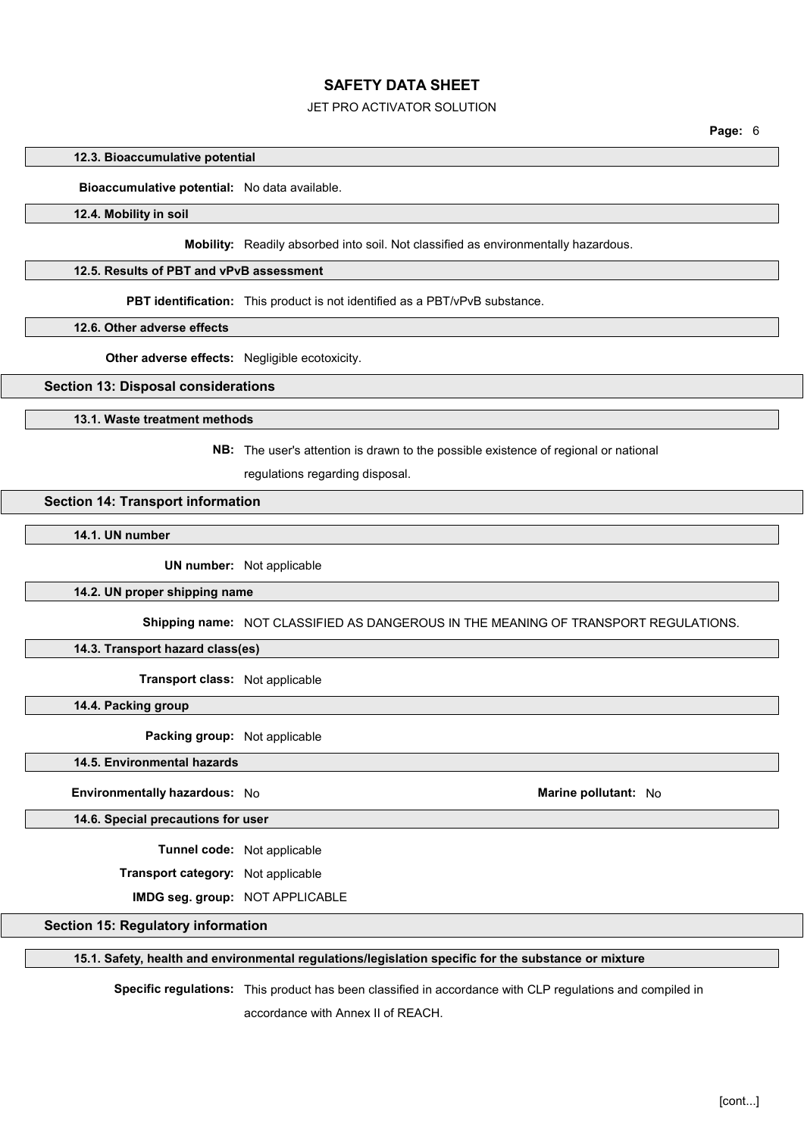# JET PRO ACTIVATOR SOLUTION

#### 12.3. Bioaccumulative potential

#### Bioaccumulative potential: No data available.

## 12.4. Mobility in soil

Mobility: Readily absorbed into soil. Not classified as environmentally hazardous.

# 12.5. Results of PBT and vPvB assessment

PBT identification: This product is not identified as a PBT/vPvB substance.

12.6. Other adverse effects

Other adverse effects: Negligible ecotoxicity.

#### Section 13: Disposal considerations

13.1. Waste treatment methods

NB: The user's attention is drawn to the possible existence of regional or national

regulations regarding disposal.

## Section 14: Transport information

14.1. UN number

UN number: Not applicable

#### 14.2. UN proper shipping name

Shipping name: NOT CLASSIFIED AS DANGEROUS IN THE MEANING OF TRANSPORT REGULATIONS.

# 14.3. Transport hazard class(es)

Transport class: Not applicable

14.4. Packing group

Packing group: Not applicable

### 14.5. Environmental hazards

## Environmentally hazardous: No and the state of the Marine pollutant: No Marine pollutant: No

14.6. Special precautions for user

Tunnel code: Not applicable

Transport category: Not applicable

IMDG seg. group: NOT APPLICABLE

## Section 15: Regulatory information

#### 15.1. Safety, health and environmental regulations/legislation specific for the substance or mixture

Specific regulations: This product has been classified in accordance with CLP regulations and compiled in

accordance with Annex II of REACH.